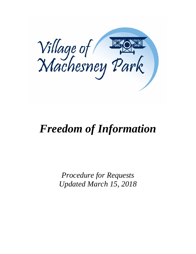

# *Freedom of Information*

*Procedure for Requests Updated March 15, 2018*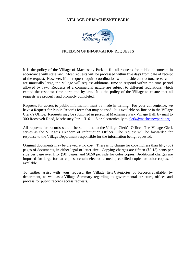# **VILLAGE OF MACHESNEY PARK**



#### FREEDOM OF INFORMATION REQUESTS

It is the policy of the Village of Machesney Park to fill all requests for public documents in accordance with state law. Most requests will be processed within five days from date of receipt of the request. However, if the request require coordination with outside contractors, research or are unusually large, the Village will request additional time to respond within the time period allowed by law. Requests of a commercial nature are subject to different regulations which extend the response time permitted by law. It is the policy of the Village to ensure that all requests are properly and promptly completed.

Requests for access to public information must be made in writing. For your convenience, we have a [Request](http://www.streamwood.org/Reference/Forms/FOIAForm.aspx) for Public Records form that may be used. It is available on-line or in the Village Clerk's Office. Requests may be submitted in person at Machesney Park Village Hall, by mail to 300 Roosevelt Road, Machesney Park, IL 61115 or electronically to [clerk@machesneypark.org.](mailto:clerk@machesneypark.org)

All requests for records should be submitted to the [Village](http://www.streamwood.org/Government/Clerk/Contact-Us.aspx) Clerk's Office. The Village Clerk serves as the Village's Freedom of Information Officer. The request will be forwarded for response to the Village Department responsible for the information being requested.

Original documents may be viewed at no cost. There is no charge for copying less than fifty (50) pages of documents, in either legal or letter size. Copying charges are fifteen (\$0.15) cents per side per page over fifty (50) pages, and \$0.50 per side for color copies. Additional charges are imposed for large format copies, certain electronic media, certified copies or color copies, if available.

To further assist with your request, the Village lists [Categories](http://www.streamwood.org/Reference/Forms/CategoriesofRecords.aspx) of Records available, by department, as well as a Village [Summary](http://www.streamwood.org/Reference/Forms/FOIAVillageSummary.aspx) regarding its governmental structure, offices and process for public records access requests.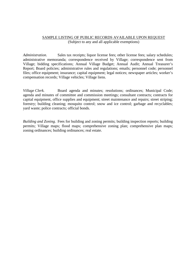## SAMPLE LISTING OF PUBLIC RECORDS AVAILABLE UPON REQUEST (Subject to any and all applicable exemptions)

*Administration*. Sales tax receipts; liquor license fees; other license fees; salary schedules; administrative memoranda; correspondence received by Village; correspondence sent from Village; bidding specifications; Annual Village Budget; Annual Audit; Annual Treasurer's Report; Board policies; administrative rules and regulations; emails; personnel code; personnel files; office equipment; insurance; capital equipment; legal notices; newspaper articles; worker's compensation records; Village vehicles; Village liens.

*Village Clerk.* Board agenda and minutes; resolutions; ordinances; Municipal Code; agenda and minutes of committee and commission meetings; consultant contracts; contracts for capital equipment, office supplies and equipment; street maintenance and repairs; street striping; forestry; building cleaning; mosquito control; snow and ice control; garbage and recyclables; yard waste; police contracts; official bonds.

*Building and Zoning.* Fees for building and zoning permits; building inspection reports; building permits; Village maps; flood maps; comprehensive zoning plan; comprehensive plan maps; zoning ordinances; building ordinances; real estate.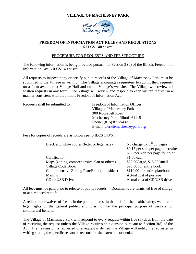# **VILLAGE OF MACHESNEY PARK**



# **FREEDOM OF INFORMATION ACT RULES AND REGULATIONS 5 ILCS 140** *et seq.*

## PROCEDURE FOR REQUESTS AND FEE STRUCTURE

The following information is being provided pursuant to Section 3 (d) of the Illinois Freedom of Information Act, 5 ILCS 140 *et seq*.

All requests to inspect, copy or certify public records of the Village of Machesney Park must be submitted to the Village in writing. The Village encourages requesters to submit their requests on a form available at Village Hall and on the Village's website. The Village will review all written requests in any form. The Village will review and respond to each written request in a manner consistent with the Illinois Freedom of Information Act.

Requests shall be submitted to: Freedom of Information Officer Village of Machesney Park 300 Roosevelt Road Machesney Park, Illinois 61115 Phone: (815) 877-5432 E-mail: [clerk@machesneypark.org](mailto:clerk@machesneypark.org)

Fees for copies of records are as follows per 5 ILCS 140/6:

| Black and white copies (letter or legal size) | No charge for $1st 50$ pages        |  |
|-----------------------------------------------|-------------------------------------|--|
|                                               | \$0.15 per side per page thereafter |  |
|                                               | \$.50 per side per page for color   |  |
| Certification                                 | \$1.00 each                         |  |
| Maps (zoning, comprehensive plan or others)   | \$30.00/large, \$15.00/small        |  |
| <b>Village Code Book</b>                      | \$95.00 for entire book             |  |
| Comprehensive Zoning Plan/Book (one-sided)    | \$110.00 for entire plan/book       |  |
| Mailing                                       | Actual cost of postage              |  |
| CD or USB Drive                               | Actual cost of CD/USB drive         |  |

All fees must be paid prior to release of public records. Documents are furnished free of charge or at a reduced rate if:

A reduction or waiver of fees is in the public interest in that it is for the health, safety, welfare or legal rights of the general public; and it is not for the principal purpose of personal or commercial benefit.

The Village of Machesney Park will respond to every request within five (5) days from the date of receiving the request unless the Village requires an extension pursuant to Section 3(d) of the Act. If an extension is requested or a request is denied, the Village will notify the requester in writing stating the specific reason or reasons for the extension or denial.